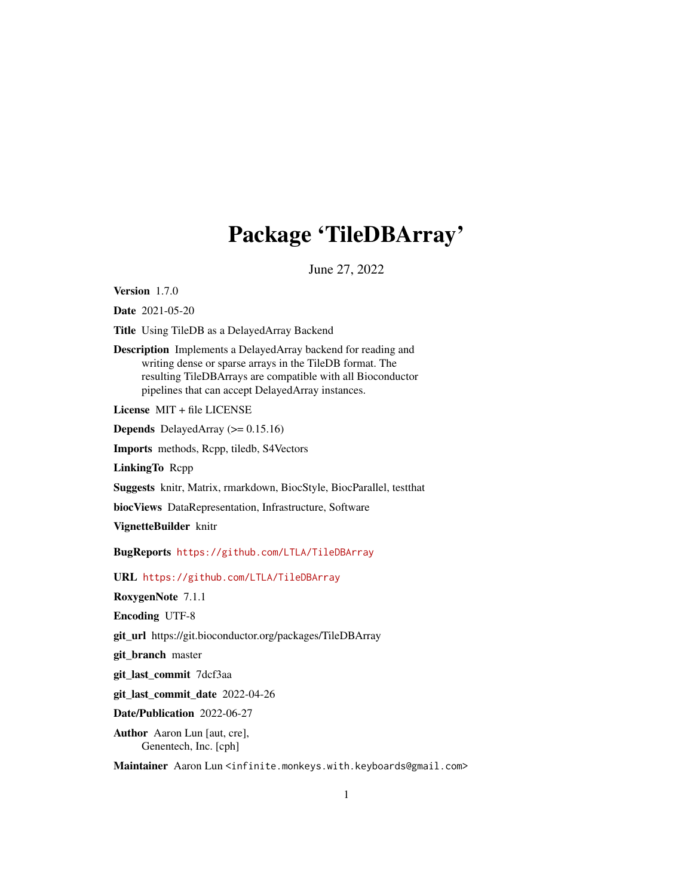# Package 'TileDBArray'

June 27, 2022

<span id="page-0-0"></span>Version 1.7.0

Date 2021-05-20

Title Using TileDB as a DelayedArray Backend

Description Implements a DelayedArray backend for reading and writing dense or sparse arrays in the TileDB format. The resulting TileDBArrays are compatible with all Bioconductor pipelines that can accept DelayedArray instances.

License MIT + file LICENSE

**Depends** DelayedArray  $(>= 0.15.16)$ 

Imports methods, Rcpp, tiledb, S4Vectors

LinkingTo Rcpp

Suggests knitr, Matrix, rmarkdown, BiocStyle, BiocParallel, testthat

biocViews DataRepresentation, Infrastructure, Software

VignetteBuilder knitr

BugReports <https://github.com/LTLA/TileDBArray>

URL <https://github.com/LTLA/TileDBArray>

RoxygenNote 7.1.1

Encoding UTF-8

git\_url https://git.bioconductor.org/packages/TileDBArray

git branch master

git\_last\_commit 7dcf3aa

git\_last\_commit\_date 2022-04-26

Date/Publication 2022-06-27

Author Aaron Lun [aut, cre], Genentech, Inc. [cph]

Maintainer Aaron Lun <infinite.monkeys.with.keyboards@gmail.com>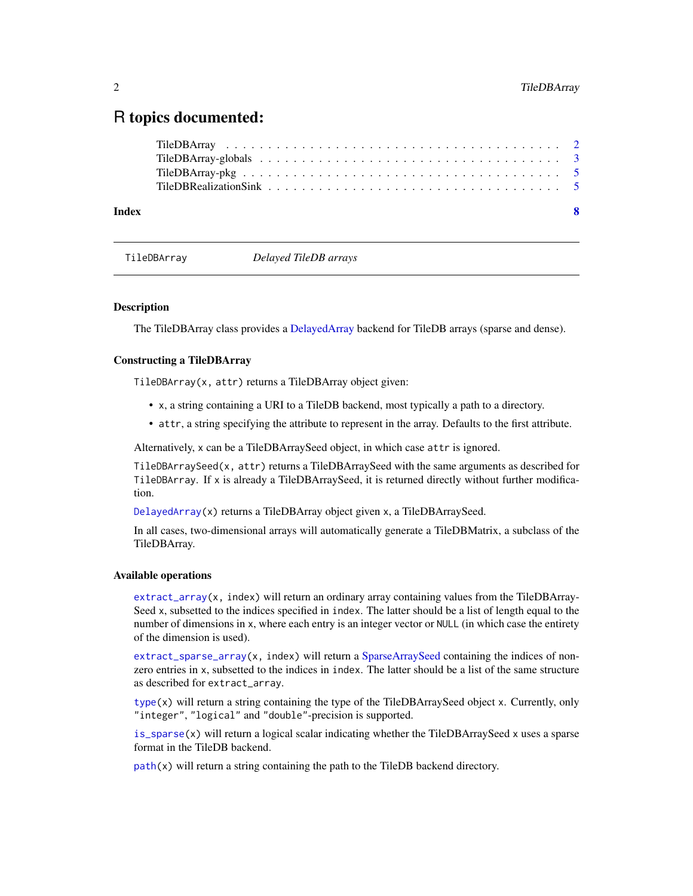# <span id="page-1-0"></span>R topics documented:

| Index | - 8 |  |
|-------|-----|--|
|       |     |  |
|       |     |  |
|       |     |  |
|       |     |  |

TileDBArray *Delayed TileDB arrays*

# <span id="page-1-1"></span>**Description**

The TileDBArray class provides a [DelayedArray](#page-0-0) backend for TileDB arrays (sparse and dense).

# Constructing a TileDBArray

TileDBArray(x, attr) returns a TileDBArray object given:

- x, a string containing a URI to a TileDB backend, most typically a path to a directory.
- attr, a string specifying the attribute to represent in the array. Defaults to the first attribute.

Alternatively, x can be a TileDBArraySeed object, in which case attr is ignored.

TileDBArraySeed(x, attr) returns a TileDBArraySeed with the same arguments as described for TileDBArray. If x is already a TileDBArraySeed, it is returned directly without further modification.

[DelayedArray\(](#page-0-0)x) returns a TileDBArray object given x, a TileDBArraySeed.

In all cases, two-dimensional arrays will automatically generate a TileDBMatrix, a subclass of the TileDBArray.

#### Available operations

[extract\\_array\(](#page-0-0)x, index) will return an ordinary array containing values from the TileDBArray-Seed x, subsetted to the indices specified in index. The latter should be a list of length equal to the number of dimensions in x, where each entry is an integer vector or NULL (in which case the entirety of the dimension is used).

[extract\\_sparse\\_array\(](#page-0-0)x, index) will return a [SparseArraySeed](#page-0-0) containing the indices of nonzero entries in x, subsetted to the indices in index. The latter should be a list of the same structure as described for extract\_array.

[type\(](#page-0-0)x) will return a string containing the type of the TileDBArraySeed object x. Currently, only "integer", "logical" and "double"-precision is supported.

[is\\_sparse\(](#page-0-0)x) will return a logical scalar indicating whether the TileDBArraySeed x uses a sparse format in the TileDB backend.

 $path(x)$  $path(x)$  will return a string containing the path to the TileDB backend directory.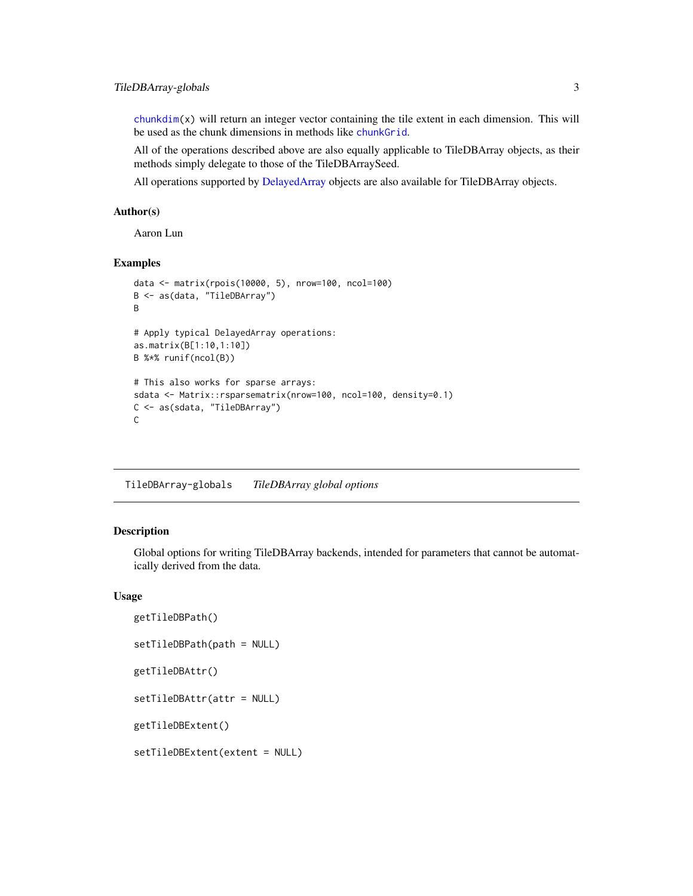# <span id="page-2-0"></span>TileDBArray-globals 3

 $\text{chunkdim}(x)$  will return an integer vector containing the tile extent in each dimension. This will be used as the chunk dimensions in methods like [chunkGrid](#page-0-0).

All of the operations described above are also equally applicable to TileDBArray objects, as their methods simply delegate to those of the TileDBArraySeed.

All operations supported by [DelayedArray](#page-0-0) objects are also available for TileDBArray objects.

# Author(s)

Aaron Lun

#### Examples

```
data <- matrix(rpois(10000, 5), nrow=100, ncol=100)
B <- as(data, "TileDBArray")
B
# Apply typical DelayedArray operations:
as.matrix(B[1:10,1:10])
B %*% runif(ncol(B))
# This also works for sparse arrays:
sdata <- Matrix::rsparsematrix(nrow=100, ncol=100, density=0.1)
C <- as(sdata, "TileDBArray")
C
```
TileDBArray-globals *TileDBArray global options*

#### Description

Global options for writing TileDBArray backends, intended for parameters that cannot be automatically derived from the data.

#### Usage

```
getTileDBPath()
setTileDBPath(path = NULL)
getTileDBAttr()
setTileDBAttr(attr = NULL)
getTileDBExtent()
setTileDBExtent(extent = NULL)
```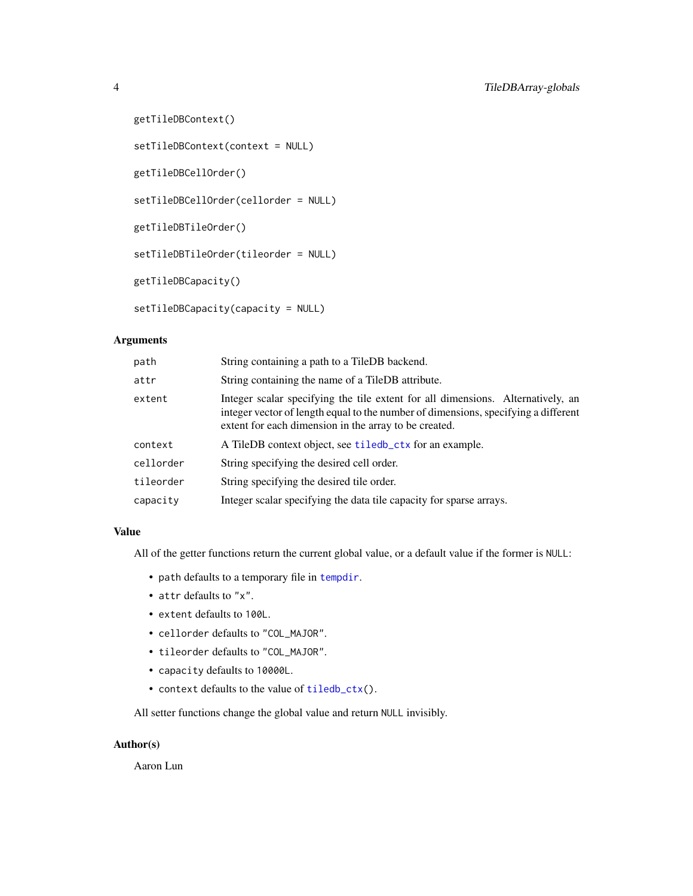```
getTileDBContext()
setTileDBContext(context = NULL)
getTileDBCellOrder()
setTileDBCellOrder(cellorder = NULL)
getTileDBTileOrder()
setTileDBTileOrder(tileorder = NULL)
getTileDBCapacity()
setTileDBCapacity(capacity = NULL)
```
# Arguments

| path      | String containing a path to a TileDB backend.                                                                                                                                                                                  |
|-----------|--------------------------------------------------------------------------------------------------------------------------------------------------------------------------------------------------------------------------------|
| attr      | String containing the name of a TileDB attribute.                                                                                                                                                                              |
| extent    | Integer scalar specifying the tile extent for all dimensions. Alternatively, an<br>integer vector of length equal to the number of dimensions, specifying a different<br>extent for each dimension in the array to be created. |
| context   | A TileDB context object, see tiledb_ctx for an example.                                                                                                                                                                        |
| cellorder | String specifying the desired cell order.                                                                                                                                                                                      |
| tileorder | String specifying the desired tile order.                                                                                                                                                                                      |
| capacity  | Integer scalar specifying the data tile capacity for sparse arrays.                                                                                                                                                            |

# Value

All of the getter functions return the current global value, or a default value if the former is NULL:

- path defaults to a temporary file in [tempdir](#page-0-0).
- attr defaults to "x".
- extent defaults to 100L.
- cellorder defaults to "COL\_MAJOR".
- tileorder defaults to "COL\_MAJOR".
- capacity defaults to 10000L.
- context defaults to the value of [tiledb\\_ctx\(](#page-0-0)).

All setter functions change the global value and return NULL invisibly.

# Author(s)

Aaron Lun

<span id="page-3-0"></span>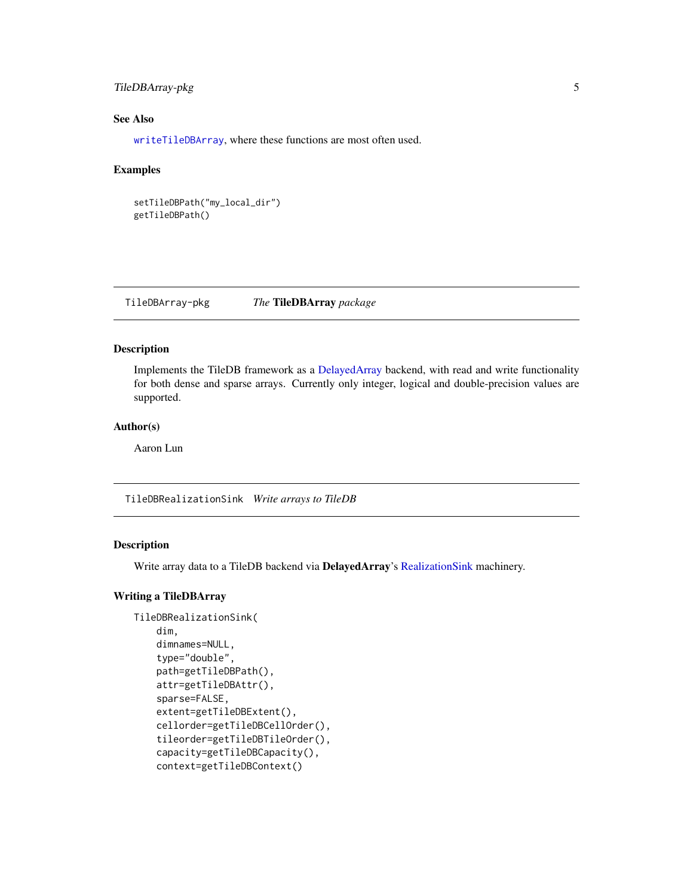# <span id="page-4-0"></span>TileDBArray-pkg 5

# See Also

[writeTileDBArray](#page-4-1), where these functions are most often used.

#### Examples

```
setTileDBPath("my_local_dir")
getTileDBPath()
```
TileDBArray-pkg *The* TileDBArray *package*

# Description

Implements the TileDB framework as a [DelayedArray](#page-0-0) backend, with read and write functionality for both dense and sparse arrays. Currently only integer, logical and double-precision values are supported.

#### Author(s)

Aaron Lun

TileDBRealizationSink *Write arrays to TileDB*

#### <span id="page-4-1"></span>Description

Write array data to a TileDB backend via DelayedArray's [RealizationSink](#page-0-0) machinery.

# Writing a TileDBArray

```
TileDBRealizationSink(
    dim,
    dimnames=NULL,
    type="double",
    path=getTileDBPath(),
    attr=getTileDBAttr(),
    sparse=FALSE,
    extent=getTileDBExtent(),
    cellorder=getTileDBCellOrder(),
    tileorder=getTileDBTileOrder(),
    capacity=getTileDBCapacity(),
    context=getTileDBContext()
```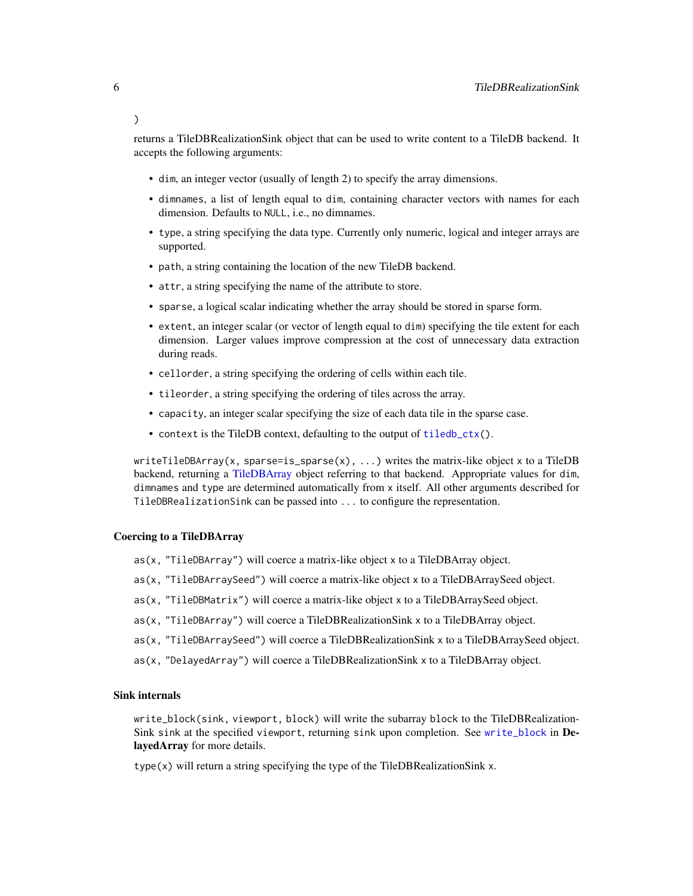returns a TileDBRealizationSink object that can be used to write content to a TileDB backend. It accepts the following arguments:

- dim, an integer vector (usually of length 2) to specify the array dimensions.
- dimnames, a list of length equal to dim, containing character vectors with names for each dimension. Defaults to NULL, i.e., no dimnames.
- type, a string specifying the data type. Currently only numeric, logical and integer arrays are supported.
- path, a string containing the location of the new TileDB backend.
- attr, a string specifying the name of the attribute to store.
- sparse, a logical scalar indicating whether the array should be stored in sparse form.
- extent, an integer scalar (or vector of length equal to dim) specifying the tile extent for each dimension. Larger values improve compression at the cost of unnecessary data extraction during reads.
- cellorder, a string specifying the ordering of cells within each tile.
- tileorder, a string specifying the ordering of tiles across the array.
- capacity, an integer scalar specifying the size of each data tile in the sparse case.
- context is the TileDB context, defaulting to the output of [tiledb\\_ctx\(](#page-0-0)).

writeTileDBArray(x, sparse=is\_sparse(x), ...) writes the matrix-like object x to a TileDB backend, returning a [TileDBArray](#page-1-1) object referring to that backend. Appropriate values for dim, dimnames and type are determined automatically from x itself. All other arguments described for TileDBRealizationSink can be passed into ... to configure the representation.

#### Coercing to a TileDBArray

- as(x, "TileDBArray") will coerce a matrix-like object x to a TileDBArray object.
- as(x, "TileDBArraySeed") will coerce a matrix-like object x to a TileDBArraySeed object.
- as(x, "TileDBMatrix") will coerce a matrix-like object x to a TileDBArraySeed object.
- as(x, "TileDBArray") will coerce a TileDBRealizationSink x to a TileDBArray object.
- as(x, "TileDBArraySeed") will coerce a TileDBRealizationSink x to a TileDBArraySeed object.
- as(x, "DelayedArray") will coerce a TileDBRealizationSink x to a TileDBArray object.

#### Sink internals

write\_block(sink, viewport, block) will write the subarray block to the TileDBRealization-Sink sink at the specified viewport, returning sink upon completion. See [write\\_block](#page-0-0) in DelayedArray for more details.

type(x) will return a string specifying the type of the TileDBRealizationSink x.

<span id="page-5-0"></span> $\lambda$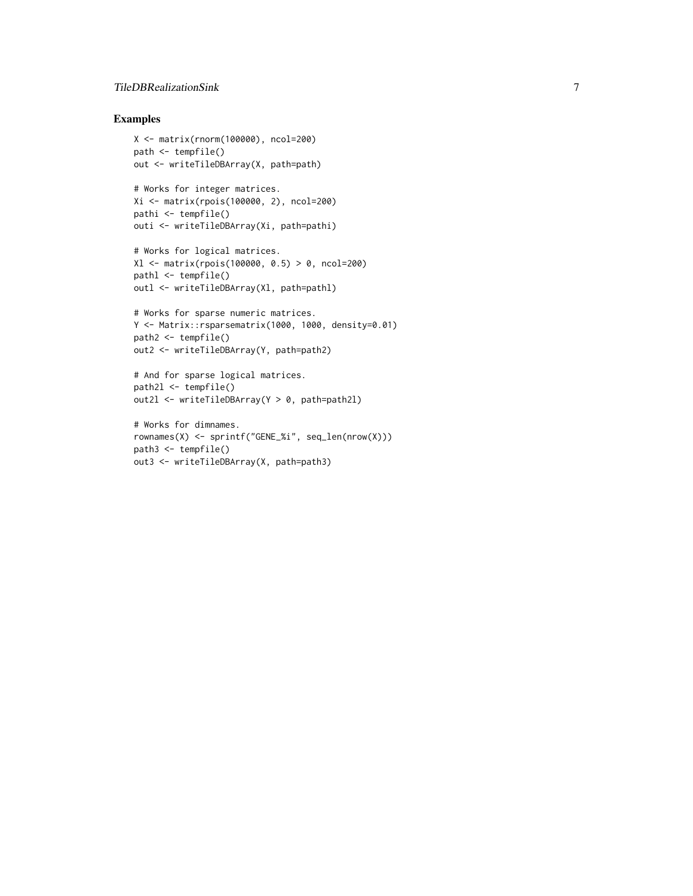# TileDBRealizationSink 7

# Examples

```
X <- matrix(rnorm(100000), ncol=200)
path <- tempfile()
out <- writeTileDBArray(X, path=path)
# Works for integer matrices.
Xi <- matrix(rpois(100000, 2), ncol=200)
pathi <- tempfile()
outi <- writeTileDBArray(Xi, path=pathi)
```

```
# Works for logical matrices.
Xl <- matrix(rpois(100000, 0.5) > 0, ncol=200)
pathl <- tempfile()
outl <- writeTileDBArray(Xl, path=pathl)
```

```
# Works for sparse numeric matrices.
Y <- Matrix::rsparsematrix(1000, 1000, density=0.01)
path2 <- tempfile()
out2 <- writeTileDBArray(Y, path=path2)
```

```
# And for sparse logical matrices.
path2l <- tempfile()
out2l <- writeTileDBArray(Y > 0, path=path2l)
```

```
# Works for dimnames.
rownames(X) <- sprintf("GENE_%i", seq_len(nrow(X)))
path3 <- tempfile()
out3 <- writeTileDBArray(X, path=path3)
```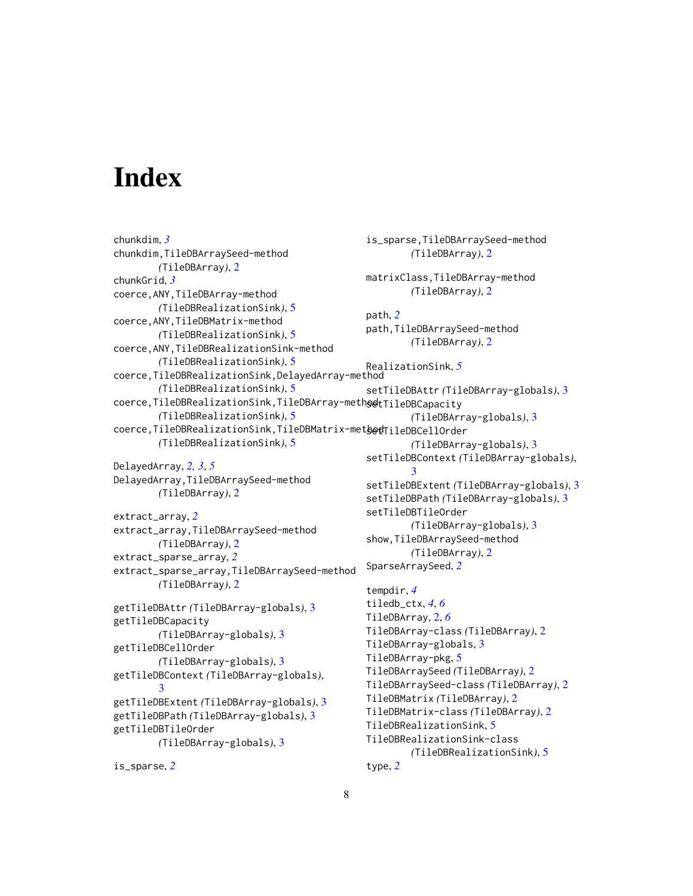# <span id="page-7-0"></span>Index

```
chunkdim, 3
chunkdim,TileDBArraySeed-method
        (TileDBArray), 2
chunkGrid, 3
coerce,ANY,TileDBArray-method
        (TileDBRealizationSink), 5
coerce,ANY,TileDBMatrix-method
        (TileDBRealizationSink), 5
coerce,ANY,TileDBRealizationSink-method
        (TileDBRealizationSink), 5
coerce,TileDBRealizationSink,DelayedArray-method
        (TileDBRealizationSink), 5
coerce,TileDBRealizationSink,TileDBArray-meths@tTileDBCapacity
        (TileDBRealizationSink), 5
coerce,TileDBRealizationSink,TileDBMatrix-method
setTileDBCellOrder
        (TileDBRealizationSink), 5
DelayedArray, 2, 3, 5
DelayedArray,TileDBArraySeed-method
        (TileDBArray), 2
extract_array, 2
extract_array,TileDBArraySeed-method
        (TileDBArray), 2
extract_sparse_array, 2
extract_sparse_array,TileDBArraySeed-method
        (TileDBArray), 2
getTileDBAttr (TileDBArray-globals), 3
getTileDBCapacity
        (TileDBArray-globals), 3
getTileDBCellOrder
        (TileDBArray-globals), 3
getTileDBContext (TileDBArray-globals),
        3
getTileDBExtent (TileDBArray-globals), 3
getTileDBPath (TileDBArray-globals), 3
getTileDBTileOrder
        (TileDBArray-globals), 3
                                               is_sparse,TileDBArraySeed-method
                                               path, 2
                                                        3
                                               tempdir, 4
                                               TileDBRealizationSink, 5
                                               TileDBRealizationSink-class
                                                       (TileDBRealizationSink), 5
                                               type, 2
```

```
(TileDBArray), 2
matrixClass,TileDBArray-method
        (TileDBArray), 2
path,TileDBArraySeed-method
        (TileDBArray), 2
RealizationSink, 5
setTileDBAttr (TileDBArray-globals), 3
        (TileDBArray-globals), 3
        (TileDBArray-globals), 3
setTileDBContext (TileDBArray-globals),
setTileDBExtent (TileDBArray-globals), 3
setTileDBPath (TileDBArray-globals), 3
setTileDBTileOrder
        (TileDBArray-globals), 3
show,TileDBArraySeed-method
        (TileDBArray), 2
SparseArraySeed, 2
tiledb_ctx, 4, 6
TileDBArray, 2, 6
TileDBArray-class (TileDBArray), 2
TileDBArray-globals, 3
TileDBArray-pkg, 5
TileDBArraySeed (TileDBArray), 2
TileDBArraySeed-class (TileDBArray), 2
TileDBMatrix (TileDBArray), 2
TileDBMatrix-class (TileDBArray), 2
```

```
is_sparse, 2
```